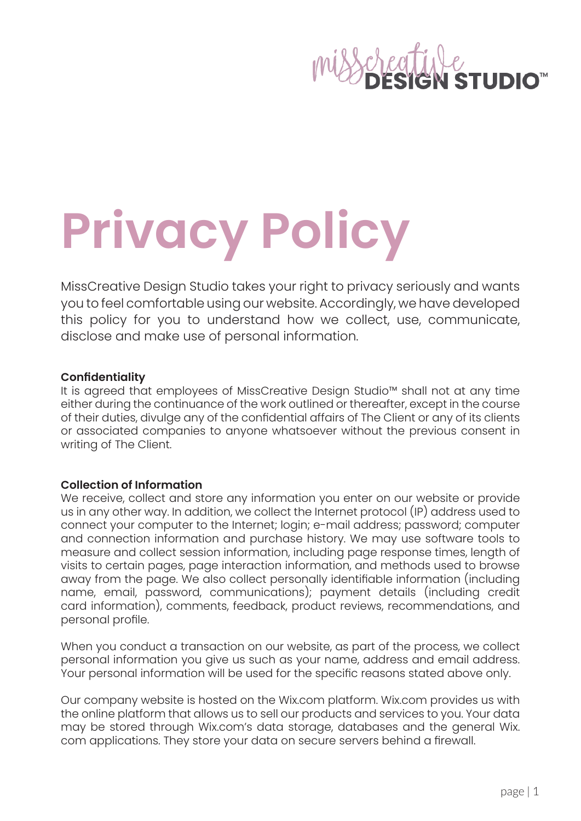# **Privacy Policy**

MissCreative Design Studio takes your right to privacy seriously and wants you to feel comfortable using our website. Accordingly, we have developed this policy for you to understand how we collect, use, communicate, disclose and make use of personal information.

## **Confidentiality**

It is agreed that employees of MissCreative Design Studio™ shall not at any time either during the continuance of the work outlined or thereafter, except in the course of their duties, divulge any of the confidential affairs of The Client or any of its clients or associated companies to anyone whatsoever without the previous consent in writing of The Client.

# **Collection of Information**

We receive, collect and store any information you enter on our website or provide us in any other way. In addition, we collect the Internet protocol (IP) address used to connect your computer to the Internet; login; e-mail address; password; computer and connection information and purchase history. We may use software tools to measure and collect session information, including page response times, length of visits to certain pages, page interaction information, and methods used to browse away from the page. We also collect personally identifiable information (including name, email, password, communications); payment details (including credit card information), comments, feedback, product reviews, recommendations, and personal profile.

When you conduct a transaction on our website, as part of the process, we collect personal information you give us such as your name, address and email address. Your personal information will be used for the specific reasons stated above only.

Our company website is hosted on the Wix.com platform. Wix.com provides us with the online platform that allows us to sell our products and services to you. Your data may be stored through Wix.com's data storage, databases and the general Wix. com applications. They store your data on secure servers behind a firewall.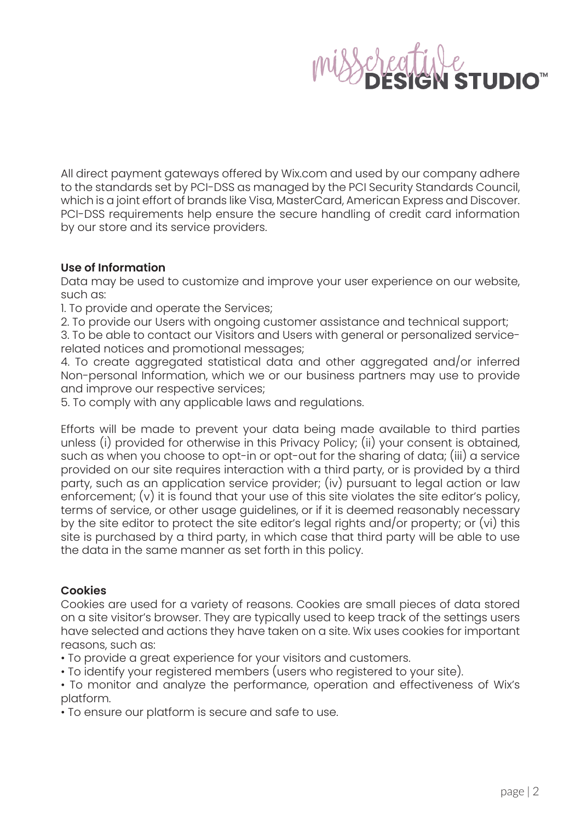

All direct payment gateways offered by Wix.com and used by our company adhere to the standards set by PCI-DSS as managed by the PCI Security Standards Council, which is a joint effort of brands like Visa, MasterCard, American Express and Discover. PCI-DSS requirements help ensure the secure handling of credit card information by our store and its service providers.

## **Use of Information**

Data may be used to customize and improve your user experience on our website, such as:

1. To provide and operate the Services;

2. To provide our Users with ongoing customer assistance and technical support;

3. To be able to contact our Visitors and Users with general or personalized servicerelated notices and promotional messages;

4. To create aggregated statistical data and other aggregated and/or inferred Non-personal Information, which we or our business partners may use to provide and improve our respective services;

5. To comply with any applicable laws and regulations.

Efforts will be made to prevent your data being made available to third parties unless (i) provided for otherwise in this Privacy Policy; (ii) your consent is obtained, such as when you choose to opt-in or opt-out for the sharing of data; (iii) a service provided on our site requires interaction with a third party, or is provided by a third party, such as an application service provider; (iv) pursuant to legal action or law enforcement; (v) it is found that your use of this site violates the site editor's policy, terms of service, or other usage guidelines, or if it is deemed reasonably necessary by the site editor to protect the site editor's legal rights and/or property; or (vi) this site is purchased by a third party, in which case that third party will be able to use the data in the same manner as set forth in this policy.

## **Cookies**

Cookies are used for a variety of reasons. Cookies are small pieces of data stored on a site visitor's browser. They are typically used to keep track of the settings users have selected and actions they have taken on a site. Wix uses cookies for important reasons, such as:

• To provide a great experience for your visitors and customers.

• To identify your registered members (users who registered to your site).

• To monitor and analyze the performance, operation and effectiveness of Wix's platform.

• To ensure our platform is secure and safe to use.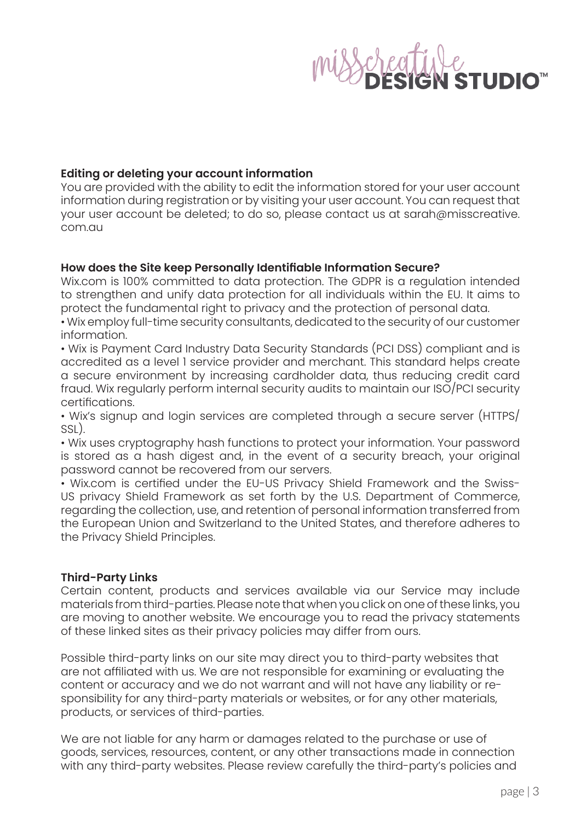## **Editing or deleting your account information**

You are provided with the ability to edit the information stored for your user account information during registration or by visiting your user account. You can request that your user account be deleted; to do so, please contact us at sarah@misscreative. com.au

## **How does the Site keep Personally Identifiable Information Secure?**

Wix.com is 100% committed to data protection. The GDPR is a regulation intended to strengthen and unify data protection for all individuals within the EU. It aims to protect the fundamental right to privacy and the protection of personal data.

• Wix employ full-time security consultants, dedicated to the security of our customer information.

• Wix is Payment Card Industry Data Security Standards (PCI DSS) compliant and is accredited as a level 1 service provider and merchant. This standard helps create a secure environment by increasing cardholder data, thus reducing credit card fraud. Wix regularly perform internal security audits to maintain our ISO/PCI security certifications.

• Wix's signup and login services are completed through a secure server (HTTPS/ SSL).

• Wix uses cryptography hash functions to protect your information. Your password is stored as a hash digest and, in the event of a security breach, your original password cannot be recovered from our servers.

• Wix.com is certified under the EU-US Privacy Shield Framework and the Swiss-US privacy Shield Framework as set forth by the U.S. Department of Commerce, regarding the collection, use, and retention of personal information transferred from the European Union and Switzerland to the United States, and therefore adheres to the Privacy Shield Principles.

## **Third-Party Links**

Certain content, products and services available via our Service may include materials from third-parties. Please note that when you click on one of these links, you are moving to another website. We encourage you to read the privacy statements of these linked sites as their privacy policies may differ from ours.

Possible third-party links on our site may direct you to third-party websites that are not affiliated with us. We are not responsible for examining or evaluating the content or accuracy and we do not warrant and will not have any liability or responsibility for any third-party materials or websites, or for any other materials, products, or services of third-parties.

We are not liable for any harm or damages related to the purchase or use of goods, services, resources, content, or any other transactions made in connection with any third-party websites. Please review carefully the third-party's policies and